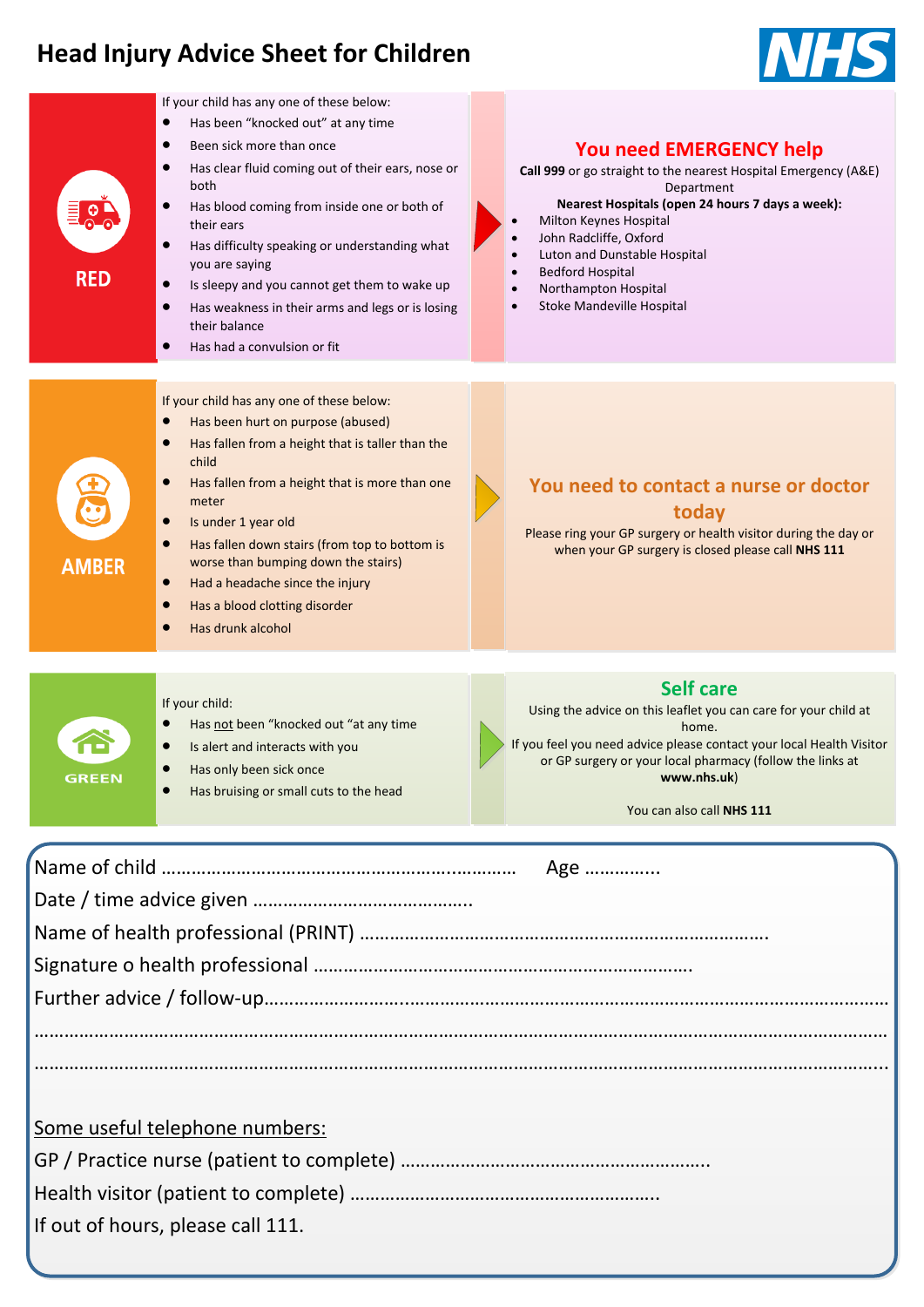# **Head Injury Advice Sheet for Children**



| $\bullet$<br><b>RED</b> | If your child has any one of these below:<br>Has been "knocked out" at any time<br>$\bullet$<br>Been sick more than once<br>$\bullet$<br>$\bullet$<br>Has clear fluid coming out of their ears, nose or<br>both<br>$\bullet$<br>Has blood coming from inside one or both of<br>their ears<br>Has difficulty speaking or understanding what<br>$\bullet$<br>you are saying<br>Is sleepy and you cannot get them to wake up<br>$\bullet$<br>$\bullet$<br>Has weakness in their arms and legs or is losing<br>their balance<br>Has had a convulsion or fit<br>$\bullet$ | <b>You need EMERGENCY help</b><br>Call 999 or go straight to the nearest Hospital Emergency (A&E)<br>Department<br>Nearest Hospitals (open 24 hours 7 days a week):<br>Milton Keynes Hospital<br>John Radcliffe, Oxford<br>Luton and Dunstable Hospital<br><b>Bedford Hospital</b><br>Northampton Hospital<br>Stoke Mandeville Hospital |
|-------------------------|----------------------------------------------------------------------------------------------------------------------------------------------------------------------------------------------------------------------------------------------------------------------------------------------------------------------------------------------------------------------------------------------------------------------------------------------------------------------------------------------------------------------------------------------------------------------|-----------------------------------------------------------------------------------------------------------------------------------------------------------------------------------------------------------------------------------------------------------------------------------------------------------------------------------------|
| <b>AMBER</b>            | If your child has any one of these below:<br>Has been hurt on purpose (abused)<br>$\bullet$<br>$\bullet$<br>Has fallen from a height that is taller than the<br>child<br>Has fallen from a height that is more than one<br>$\bullet$<br>meter<br>$\bullet$<br>Is under 1 year old<br>$\bullet$<br>Has fallen down stairs (from top to bottom is<br>worse than bumping down the stairs)<br>Had a headache since the injury<br>$\bullet$<br>Has a blood clotting disorder<br>$\bullet$<br>Has drunk alcohol                                                            | You need to contact a nurse or doctor<br>today<br>Please ring your GP surgery or health visitor during the day or<br>when your GP surgery is closed please call NHS 111                                                                                                                                                                 |
| <b>GREEN</b>            | If your child:<br>Has not been "knocked out "at any time<br>Is alert and interacts with you<br>$\bullet$<br>Has only been sick once<br>Has bruising or small cuts to the head                                                                                                                                                                                                                                                                                                                                                                                        | <b>Self care</b><br>Using the advice on this leaflet you can care for your child at<br>home.<br>If you feel you need advice please contact your local Health Visitor<br>or GP surgery or your local pharmacy (follow the links at<br>www.nhs.uk)<br>You can also call NHS 111                                                           |
|                         |                                                                                                                                                                                                                                                                                                                                                                                                                                                                                                                                                                      | Age                                                                                                                                                                                                                                                                                                                                     |
|                         | <u>Some useful telephone numbers:</u>                                                                                                                                                                                                                                                                                                                                                                                                                                                                                                                                |                                                                                                                                                                                                                                                                                                                                         |

If out of hours, please call 111.

#### **INCY** help

#### **Roarring Hospital Hospital (d)** *n e* **<b>***days* **a week**):